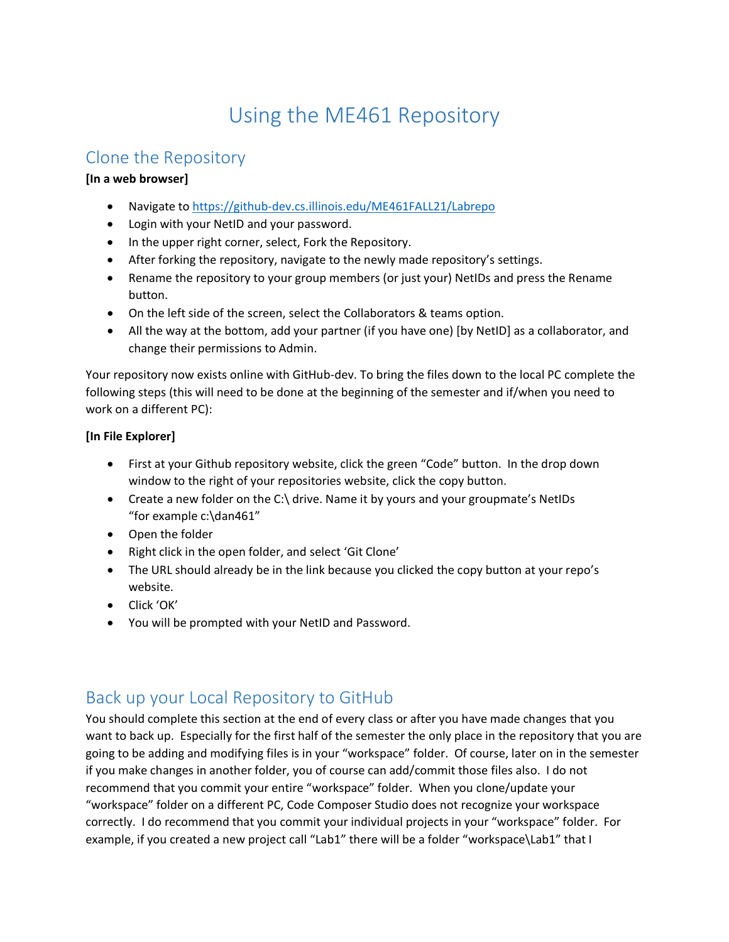# Using the ME461 Repository

### Clone the Repository

#### **[In a web browser]**

- Navigate to<https://github-dev.cs.illinois.edu/ME461FALL21/Labrepo>
- Login with your NetID and your password.
- In the upper right corner, select, Fork the Repository.
- After forking the repository, navigate to the newly made repository's settings.
- Rename the repository to your group members (or just your) NetIDs and press the Rename button.
- On the left side of the screen, select the Collaborators & teams option.
- All the way at the bottom, add your partner (if you have one) [by NetID] as a collaborator, and change their permissions to Admin.

Your repository now exists online with GitHub-dev. To bring the files down to the local PC complete the following steps (this will need to be done at the beginning of the semester and if/when you need to work on a different PC):

### **[In File Explorer]**

- First at your Github repository website, click the green "Code" button. In the drop down window to the right of your repositories website, click the copy button.
- Create a new folder on the C:\ drive. Name it by yours and your groupmate's NetIDs "for example c:\dan461"
- Open the folder
- Right click in the open folder, and select 'Git Clone'
- The URL should already be in the link because you clicked the copy button at your repo's website.
- Click 'OK'
- You will be prompted with your NetID and Password.

# Back up your Local Repository to GitHub

You should complete this section at the end of every class or after you have made changes that you want to back up. Especially for the first half of the semester the only place in the repository that you are going to be adding and modifying files is in your "workspace" folder. Of course, later on in the semester if you make changes in another folder, you of course can add/commit those files also. I do not recommend that you commit your entire "workspace" folder. When you clone/update your "workspace" folder on a different PC, Code Composer Studio does not recognize your workspace correctly. I do recommend that you commit your individual projects in your "workspace" folder. For example, if you created a new project call "Lab1" there will be a folder "workspace\Lab1" that I